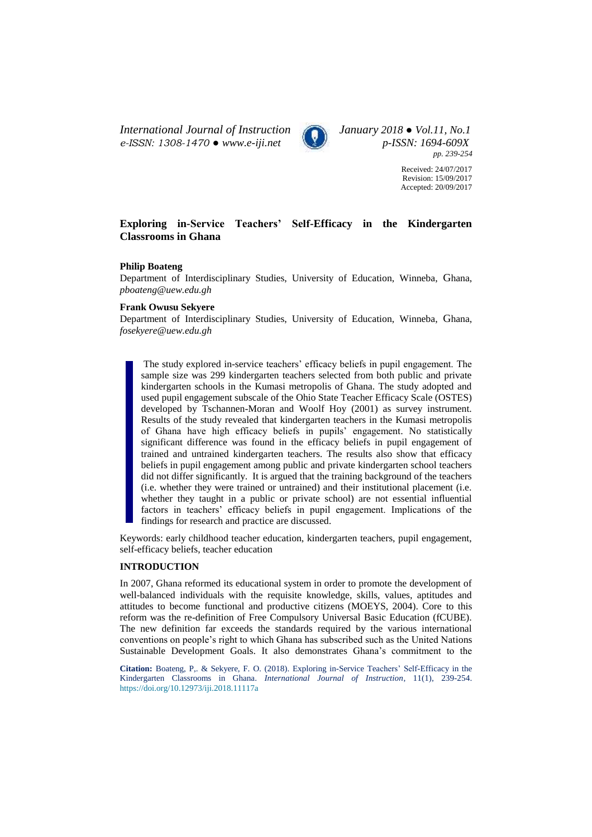*International Journal of Instruction January 2018 ● Vol.11, No.1 e-ISSN: 1308-1470 ● [www.e-iji.net](http://www.e-iji.net/) p-ISSN: 1694-609X*



*pp. 239-254*

Received: 24/07/2017 Revision: 15/09/2017 Accepted: 20/09/2017

# **Exploring in-Service Teachers' Self-Efficacy in the Kindergarten Classrooms in Ghana**

## **Philip Boateng**

Department of Interdisciplinary Studies, University of Education, Winneba, Ghana, *[pboateng@uew.edu.gh](mailto:pboateng@uew.edu.gh)*

## **Frank Owusu Sekyere**

Department of Interdisciplinary Studies, University of Education, Winneba, Ghana, *[fosekyere@uew.edu.gh](mailto:fosekyere@uew.edu.gh)*

The study explored in-service teachers' efficacy beliefs in pupil engagement. The sample size was 299 kindergarten teachers selected from both public and private kindergarten schools in the Kumasi metropolis of Ghana. The study adopted and used pupil engagement subscale of the Ohio State Teacher Efficacy Scale (OSTES) developed by Tschannen-Moran and Woolf Hoy (2001) as survey instrument. Results of the study revealed that kindergarten teachers in the Kumasi metropolis of Ghana have high efficacy beliefs in pupils' engagement. No statistically significant difference was found in the efficacy beliefs in pupil engagement of trained and untrained kindergarten teachers. The results also show that efficacy beliefs in pupil engagement among public and private kindergarten school teachers did not differ significantly. It is argued that the training background of the teachers (i.e. whether they were trained or untrained) and their institutional placement (i.e. whether they taught in a public or private school) are not essential influential factors in teachers' efficacy beliefs in pupil engagement. Implications of the findings for research and practice are discussed.

Keywords: early childhood teacher education, kindergarten teachers, pupil engagement, self-efficacy beliefs, teacher education

## **INTRODUCTION**

In 2007, Ghana reformed its educational system in order to promote the development of well-balanced individuals with the requisite knowledge, skills, values, aptitudes and attitudes to become functional and productive citizens (MOEYS, 2004). Core to this reform was the re-definition of Free Compulsory Universal Basic Education (fCUBE). The new definition far exceeds the standards required by the various international conventions on people's right to which Ghana has subscribed such as the United Nations Sustainable Development Goals. It also demonstrates Ghana's commitment to the

**Citation:** Boateng, P,. & Sekyere, F. O. (2018). Exploring in-Service Teachers' Self-Efficacy in the Kindergarten Classrooms in Ghana. *International Journal of Instruction*, 11(1), 239-254. <https://doi.org/10.12973/iji.2018.11117a>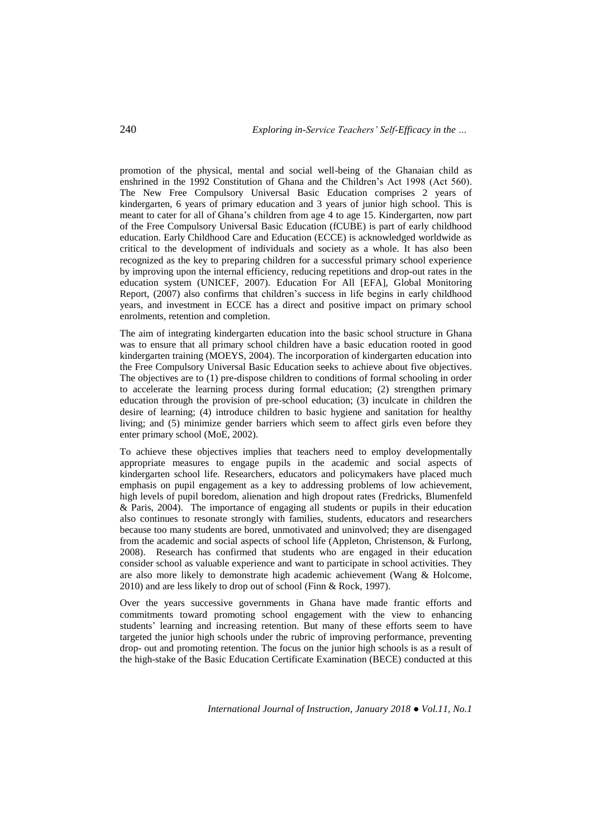promotion of the physical, mental and social well-being of the Ghanaian child as enshrined in the 1992 Constitution of Ghana and the Children's Act 1998 (Act 560). The New Free Compulsory Universal Basic Education comprises 2 years of kindergarten, 6 years of primary education and 3 years of junior high school. This is meant to cater for all of Ghana's children from age 4 to age 15. Kindergarten, now part of the Free Compulsory Universal Basic Education (fCUBE) is part of early childhood education. Early Childhood Care and Education (ECCE) is acknowledged worldwide as critical to the development of individuals and society as a whole. It has also been recognized as the key to preparing children for a successful primary school experience by improving upon the internal efficiency, reducing repetitions and drop-out rates in the education system (UNICEF, 2007). Education For All [EFA], Global Monitoring Report, (2007) also confirms that children's success in life begins in early childhood years, and investment in ECCE has a direct and positive impact on primary school enrolments, retention and completion.

The aim of integrating kindergarten education into the basic school structure in Ghana was to ensure that all primary school children have a basic education rooted in good kindergarten training (MOEYS, 2004). The incorporation of kindergarten education into the Free Compulsory Universal Basic Education seeks to achieve about five objectives. The objectives are to (1) pre-dispose children to conditions of formal schooling in order to accelerate the learning process during formal education; (2) strengthen primary education through the provision of pre-school education; (3) inculcate in children the desire of learning; (4) introduce children to basic hygiene and sanitation for healthy living; and (5) minimize gender barriers which seem to affect girls even before they enter primary school (MoE, 2002).

To achieve these objectives implies that teachers need to employ developmentally appropriate measures to engage pupils in the academic and social aspects of kindergarten school life. Researchers, educators and policymakers have placed much emphasis on pupil engagement as a key to addressing problems of low achievement, high levels of pupil boredom, alienation and high dropout rates (Fredricks, Blumenfeld & Paris, 2004). The importance of engaging all students or pupils in their education also continues to resonate strongly with families, students, educators and researchers because too many students are bored, unmotivated and uninvolved; they are disengaged from the academic and social aspects of school life (Appleton, Christenson, & Furlong, 2008). Research has confirmed that students who are engaged in their education consider school as valuable experience and want to participate in school activities. They are also more likely to demonstrate high academic achievement (Wang & Holcome, 2010) and are less likely to drop out of school (Finn & Rock, 1997).

Over the years successive governments in Ghana have made frantic efforts and commitments toward promoting school engagement with the view to enhancing students' learning and increasing retention. But many of these efforts seem to have targeted the junior high schools under the rubric of improving performance, preventing drop- out and promoting retention. The focus on the junior high schools is as a result of the high-stake of the Basic Education Certificate Examination (BECE) conducted at this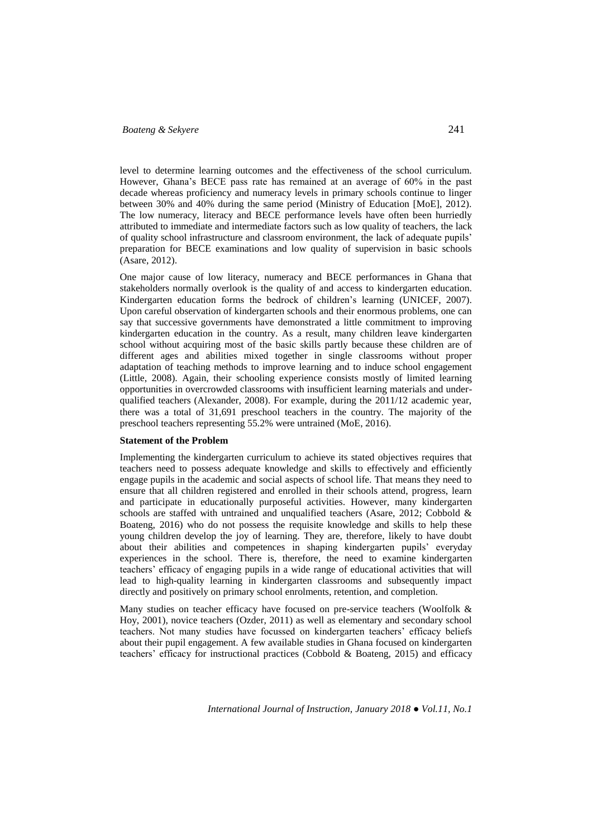# *Boateng & Sekyere* 241

level to determine learning outcomes and the effectiveness of the school curriculum. However, Ghana's BECE pass rate has remained at an average of 60% in the past decade whereas proficiency and numeracy levels in primary schools continue to linger between 30% and 40% during the same period (Ministry of Education [MoE], 2012). The low numeracy, literacy and BECE performance levels have often been hurriedly attributed to immediate and intermediate factors such as low quality of teachers, the lack of quality school infrastructure and classroom environment, the lack of adequate pupils' preparation for BECE examinations and low quality of supervision in basic schools (Asare, 2012).

One major cause of low literacy, numeracy and BECE performances in Ghana that stakeholders normally overlook is the quality of and access to kindergarten education. Kindergarten education forms the bedrock of children's learning (UNICEF, 2007). Upon careful observation of kindergarten schools and their enormous problems, one can say that successive governments have demonstrated a little commitment to improving kindergarten education in the country. As a result, many children leave kindergarten school without acquiring most of the basic skills partly because these children are of different ages and abilities mixed together in single classrooms without proper adaptation of teaching methods to improve learning and to induce school engagement (Little, 2008). Again, their schooling experience consists mostly of limited learning opportunities in overcrowded classrooms with insufficient learning materials and underqualified teachers (Alexander, 2008). For example, during the 2011/12 academic year, there was a total of 31,691 preschool teachers in the country. The majority of the preschool teachers representing 55.2% were untrained (MoE, 2016).

#### **Statement of the Problem**

Implementing the kindergarten curriculum to achieve its stated objectives requires that teachers need to possess adequate knowledge and skills to effectively and efficiently engage pupils in the academic and social aspects of school life. That means they need to ensure that all children registered and enrolled in their schools attend, progress, learn and participate in educationally purposeful activities. However, many kindergarten schools are staffed with untrained and unqualified teachers (Asare, 2012; Cobbold & Boateng, 2016) who do not possess the requisite knowledge and skills to help these young children develop the joy of learning. They are, therefore, likely to have doubt about their abilities and competences in shaping kindergarten pupils' everyday experiences in the school. There is, therefore, the need to examine kindergarten teachers' efficacy of engaging pupils in a wide range of educational activities that will lead to high-quality learning in kindergarten classrooms and subsequently impact directly and positively on primary school enrolments, retention, and completion.

Many studies on teacher efficacy have focused on pre-service teachers (Woolfolk & Hoy, 2001), novice teachers (Ozder, 2011) as well as elementary and secondary school teachers. Not many studies have focussed on kindergarten teachers' efficacy beliefs about their pupil engagement. A few available studies in Ghana focused on kindergarten teachers' efficacy for instructional practices (Cobbold & Boateng, 2015) and efficacy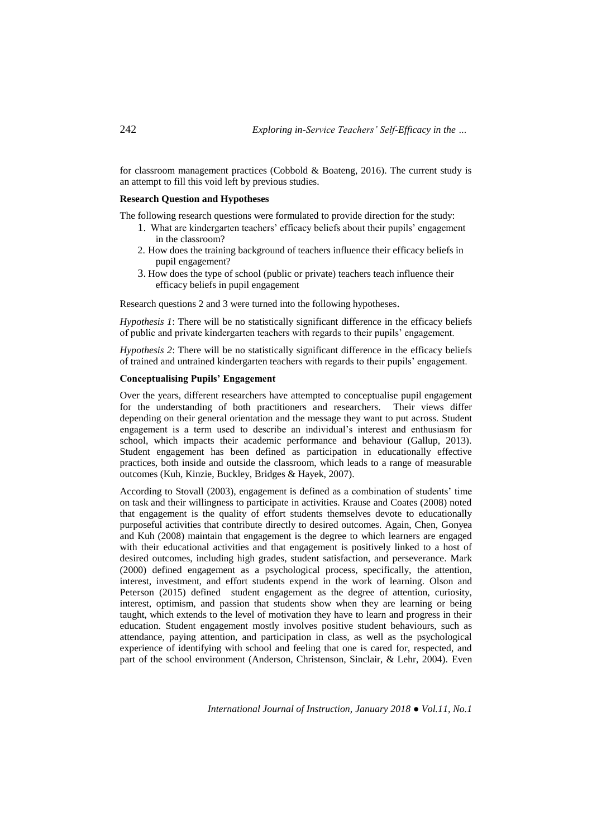for classroom management practices (Cobbold  $\&$  Boateng, 2016). The current study is an attempt to fill this void left by previous studies.

## **Research Question and Hypotheses**

The following research questions were formulated to provide direction for the study:

- 1. What are kindergarten teachers' efficacy beliefs about their pupils' engagement in the classroom?
- 2. How does the training background of teachers influence their efficacy beliefs in pupil engagement?
- 3. How does the type of school (public or private) teachers teach influence their efficacy beliefs in pupil engagement

Research questions 2 and 3 were turned into the following hypotheses.

*Hypothesis 1*: There will be no statistically significant difference in the efficacy beliefs of public and private kindergarten teachers with regards to their pupils' engagement.

*Hypothesis 2*: There will be no statistically significant difference in the efficacy beliefs of trained and untrained kindergarten teachers with regards to their pupils' engagement.

## **Conceptualising Pupils' Engagement**

Over the years, different researchers have attempted to conceptualise pupil engagement for the understanding of both practitioners and researchers. Their views differ depending on their general orientation and the message they want to put across. Student engagement is a term used to describe an individual's interest and enthusiasm for school, which impacts their academic performance and behaviour (Gallup, 2013). Student engagement has been defined as participation in educationally effective practices, both inside and outside the classroom, which leads to a range of measurable outcomes (Kuh, Kinzie, Buckley, Bridges & Hayek, 2007).

According to Stovall (2003), engagement is defined as a combination of students' time on task and their willingness to participate in activities. Krause and Coates (2008) noted that engagement is the quality of effort students themselves devote to educationally purposeful activities that contribute directly to desired outcomes. Again, Chen, Gonyea and Kuh (2008) maintain that engagement is the degree to which learners are engaged with their educational activities and that engagement is positively linked to a host of desired outcomes, including high grades, student satisfaction, and perseverance. Mark (2000) defined engagement as a psychological process, specifically, the attention, interest, investment, and effort students expend in the work of learning. Olson and Peterson (2015) defined student engagement as the degree of attention, curiosity, interest, optimism, and passion that students show when they are learning or being taught, which extends to the level of motivation they have to learn and progress in their education. Student engagement mostly involves positive student behaviours, such as attendance, paying attention, and participation in class, as well as the psychological experience of identifying with school and feeling that one is cared for, respected, and part of the school environment (Anderson, Christenson, Sinclair, & Lehr, 2004). Even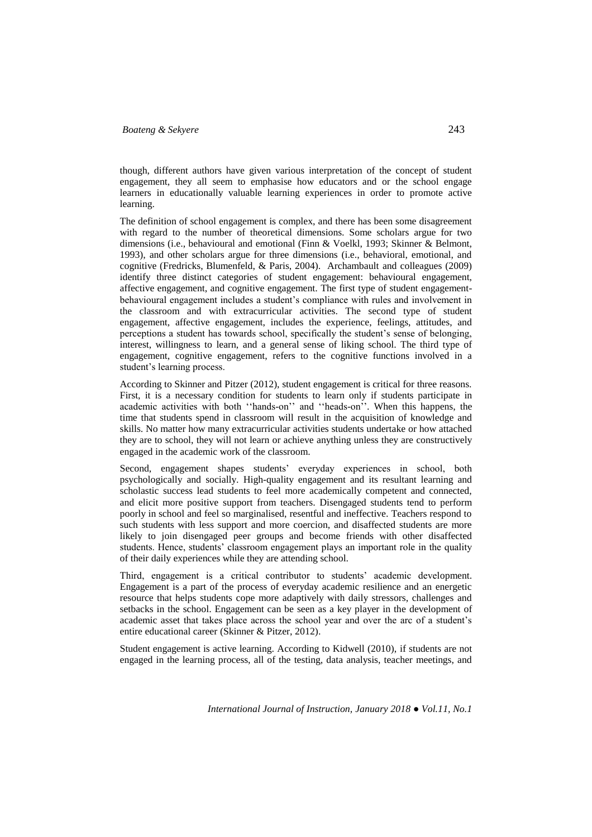# *Boateng & Sekyere* 243

though, different authors have given various interpretation of the concept of student engagement, they all seem to emphasise how educators and or the school engage learners in educationally valuable learning experiences in order to promote active learning.

The definition of school engagement is complex, and there has been some disagreement with regard to the number of theoretical dimensions. Some scholars argue for two dimensions (i.e., behavioural and emotional (Finn & Voelkl, 1993; Skinner & Belmont, 1993), and other scholars argue for three dimensions (i.e., behavioral, emotional, and cognitive (Fredricks, Blumenfeld, & Paris, 2004). Archambault and colleagues (2009) identify three distinct categories of student engagement: behavioural engagement, affective engagement, and cognitive engagement. The first type of student engagementbehavioural engagement includes a student's compliance with rules and involvement in the classroom and with extracurricular activities. The second type of student engagement, affective engagement, includes the experience, feelings, attitudes, and perceptions a student has towards school, specifically the student's sense of belonging, interest, willingness to learn, and a general sense of liking school. The third type of engagement, cognitive engagement, refers to the cognitive functions involved in a student's learning process.

According to Skinner and Pitzer (2012), student engagement is critical for three reasons. First, it is a necessary condition for students to learn only if students participate in academic activities with both ''hands-on'' and ''heads-on''. When this happens, the time that students spend in classroom will result in the acquisition of knowledge and skills. No matter how many extracurricular activities students undertake or how attached they are to school, they will not learn or achieve anything unless they are constructively engaged in the academic work of the classroom.

Second, engagement shapes students' everyday experiences in school, both psychologically and socially. High-quality engagement and its resultant learning and scholastic success lead students to feel more academically competent and connected, and elicit more positive support from teachers. Disengaged students tend to perform poorly in school and feel so marginalised, resentful and ineffective. Teachers respond to such students with less support and more coercion, and disaffected students are more likely to join disengaged peer groups and become friends with other disaffected students. Hence, students' classroom engagement plays an important role in the quality of their daily experiences while they are attending school.

Third, engagement is a critical contributor to students' academic development. Engagement is a part of the process of everyday academic resilience and an energetic resource that helps students cope more adaptively with daily stressors, challenges and setbacks in the school. Engagement can be seen as a key player in the development of academic asset that takes place across the school year and over the arc of a student's entire educational career (Skinner & Pitzer, 2012).

Student engagement is active learning. According to Kidwell (2010), if students are not engaged in the learning process, all of the testing, data analysis, teacher meetings, and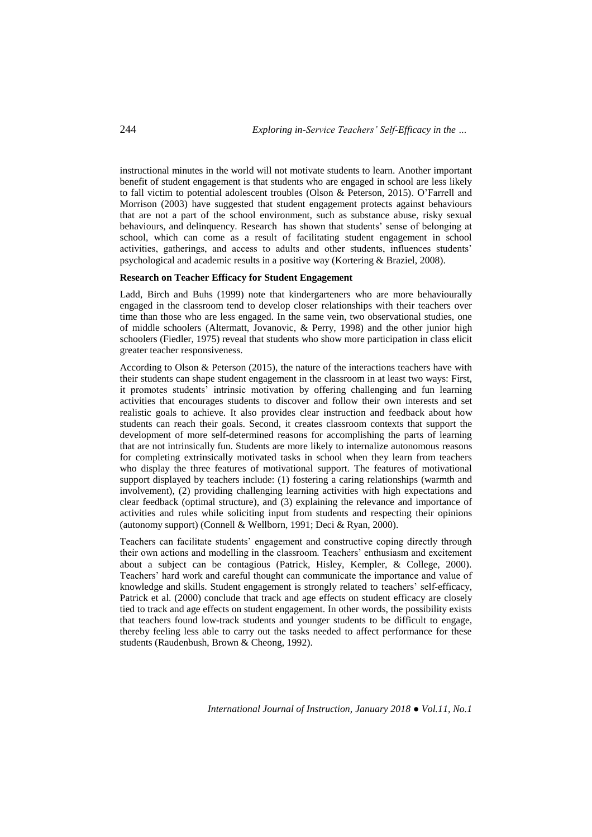instructional minutes in the world will not motivate students to learn. Another important benefit of student engagement is that students who are engaged in school are less likely to fall victim to potential adolescent troubles (Olson & Peterson, 2015). O'Farrell and Morrison (2003) have suggested that student engagement protects against behaviours that are not a part of the school environment, such as substance abuse, risky sexual behaviours, and delinquency. Research has shown that students' sense of belonging at school, which can come as a result of facilitating student engagement in school activities, gatherings, and access to adults and other students, influences students' psychological and academic results in a positive way (Kortering & Braziel, 2008).

# **Research on Teacher Efficacy for Student Engagement**

Ladd, Birch and Buhs (1999) note that kindergarteners who are more behaviourally engaged in the classroom tend to develop closer relationships with their teachers over time than those who are less engaged. In the same vein, two observational studies, one of middle schoolers (Altermatt, Jovanovic, & Perry, 1998) and the other junior high schoolers (Fiedler, 1975) reveal that students who show more participation in class elicit greater teacher responsiveness.

According to Olson & Peterson (2015), the nature of the interactions teachers have with their students can shape student engagement in the classroom in at least two ways: First, it promotes students' intrinsic motivation by offering challenging and fun learning activities that encourages students to discover and follow their own interests and set realistic goals to achieve. It also provides clear instruction and feedback about how students can reach their goals. Second, it creates classroom contexts that support the development of more self-determined reasons for accomplishing the parts of learning that are not intrinsically fun. Students are more likely to internalize autonomous reasons for completing extrinsically motivated tasks in school when they learn from teachers who display the three features of motivational support. The features of motivational support displayed by teachers include: (1) fostering a caring relationships (warmth and involvement), (2) providing challenging learning activities with high expectations and clear feedback (optimal structure), and (3) explaining the relevance and importance of activities and rules while soliciting input from students and respecting their opinions (autonomy support) (Connell & Wellborn, 1991; Deci & Ryan, 2000).

Teachers can facilitate students' engagement and constructive coping directly through their own actions and modelling in the classroom. Teachers' enthusiasm and excitement about a subject can be contagious (Patrick, Hisley, Kempler, & College, 2000). Teachers' hard work and careful thought can communicate the importance and value of knowledge and skills. Student engagement is strongly related to teachers' self-efficacy, Patrick et al. (2000) conclude that track and age effects on student efficacy are closely tied to track and age effects on student engagement. In other words, the possibility exists that teachers found low-track students and younger students to be difficult to engage, thereby feeling less able to carry out the tasks needed to affect performance for these students (Raudenbush, Brown & Cheong, 1992).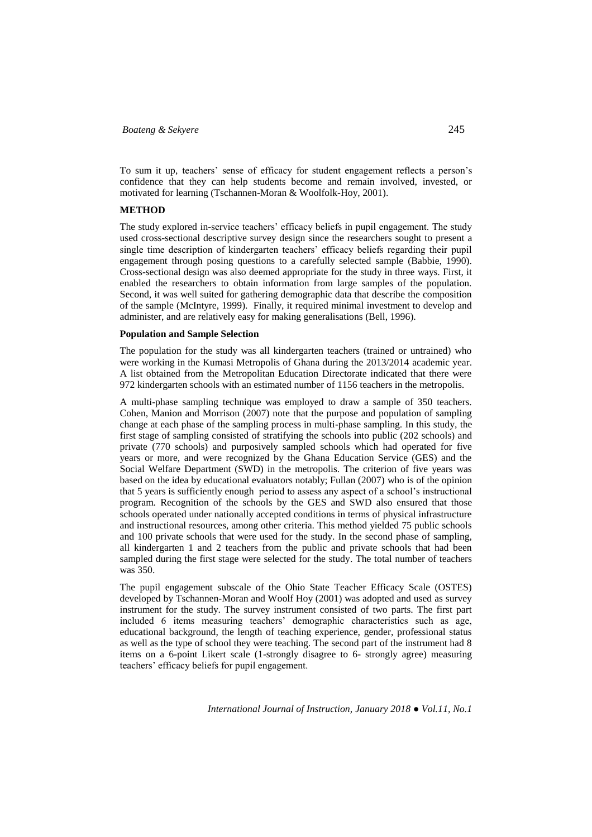To sum it up, teachers' sense of efficacy for student engagement reflects a person's confidence that they can help students become and remain involved, invested, or motivated for learning (Tschannen-Moran & Woolfolk-Hoy, 2001).

#### **METHOD**

The study explored in-service teachers' efficacy beliefs in pupil engagement. The study used cross-sectional descriptive survey design since the researchers sought to present a single time description of kindergarten teachers' efficacy beliefs regarding their pupil engagement through posing questions to a carefully selected sample (Babbie, 1990). Cross-sectional design was also deemed appropriate for the study in three ways. First, it enabled the researchers to obtain information from large samples of the population. Second, it was well suited for gathering demographic data that describe the composition of the sample (McIntyre, 1999). Finally, it required minimal investment to develop and administer, and are relatively easy for making generalisations (Bell, 1996).

### **Population and Sample Selection**

The population for the study was all kindergarten teachers (trained or untrained) who were working in the Kumasi Metropolis of Ghana during the 2013/2014 academic year. A list obtained from the Metropolitan Education Directorate indicated that there were 972 kindergarten schools with an estimated number of 1156 teachers in the metropolis.

A multi-phase sampling technique was employed to draw a sample of 350 teachers. Cohen, Manion and Morrison (2007) note that the purpose and population of sampling change at each phase of the sampling process in multi-phase sampling. In this study, the first stage of sampling consisted of stratifying the schools into public (202 schools) and private (770 schools) and purposively sampled schools which had operated for five years or more, and were recognized by the Ghana Education Service (GES) and the Social Welfare Department (SWD) in the metropolis. The criterion of five years was based on the idea by educational evaluators notably; Fullan (2007) who is of the opinion that 5 years is sufficiently enough period to assess any aspect of a school's instructional program. Recognition of the schools by the GES and SWD also ensured that those schools operated under nationally accepted conditions in terms of physical infrastructure and instructional resources, among other criteria. This method yielded 75 public schools and 100 private schools that were used for the study. In the second phase of sampling, all kindergarten 1 and 2 teachers from the public and private schools that had been sampled during the first stage were selected for the study. The total number of teachers was 350.

The pupil engagement subscale of the Ohio State Teacher Efficacy Scale (OSTES) developed by Tschannen-Moran and Woolf Hoy (2001) was adopted and used as survey instrument for the study. The survey instrument consisted of two parts. The first part included 6 items measuring teachers' demographic characteristics such as age, educational background, the length of teaching experience, gender, professional status as well as the type of school they were teaching. The second part of the instrument had 8 items on a 6-point Likert scale (1-strongly disagree to 6- strongly agree) measuring teachers' efficacy beliefs for pupil engagement.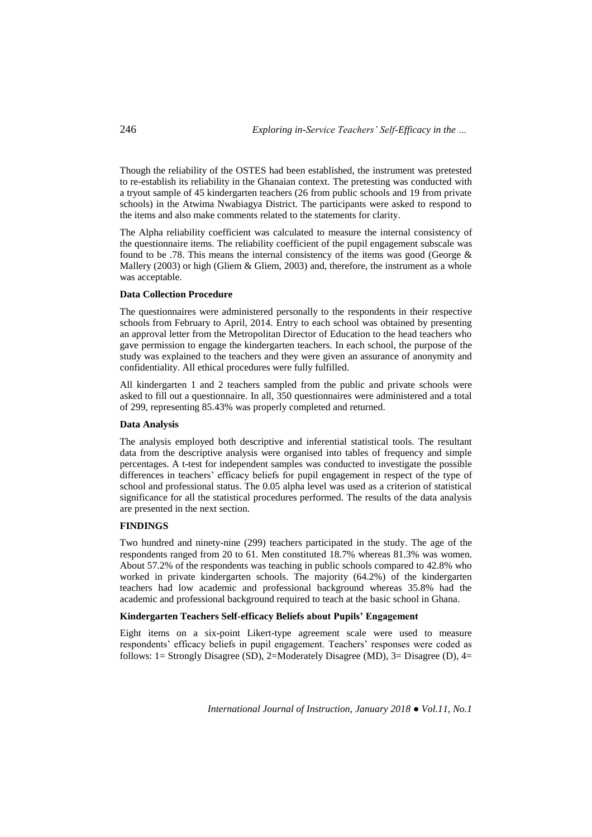Though the reliability of the OSTES had been established, the instrument was pretested to re-establish its reliability in the Ghanaian context. The pretesting was conducted with a tryout sample of 45 kindergarten teachers (26 from public schools and 19 from private schools) in the Atwima Nwabiagya District. The participants were asked to respond to the items and also make comments related to the statements for clarity.

The Alpha reliability coefficient was calculated to measure the internal consistency of the questionnaire items. The reliability coefficient of the pupil engagement subscale was found to be .78. This means the internal consistency of the items was good (George & Mallery (2003) or high (Gliem & Gliem, 2003) and, therefore, the instrument as a whole was acceptable.

### **Data Collection Procedure**

The questionnaires were administered personally to the respondents in their respective schools from February to April, 2014. Entry to each school was obtained by presenting an approval letter from the Metropolitan Director of Education to the head teachers who gave permission to engage the kindergarten teachers. In each school, the purpose of the study was explained to the teachers and they were given an assurance of anonymity and confidentiality. All ethical procedures were fully fulfilled.

All kindergarten 1 and 2 teachers sampled from the public and private schools were asked to fill out a questionnaire. In all, 350 questionnaires were administered and a total of 299, representing 85.43% was properly completed and returned.

#### **Data Analysis**

The analysis employed both descriptive and inferential statistical tools. The resultant data from the descriptive analysis were organised into tables of frequency and simple percentages. A t-test for independent samples was conducted to investigate the possible differences in teachers' efficacy beliefs for pupil engagement in respect of the type of school and professional status. The 0.05 alpha level was used as a criterion of statistical significance for all the statistical procedures performed. The results of the data analysis are presented in the next section.

# **FINDINGS**

Two hundred and ninety-nine (299) teachers participated in the study. The age of the respondents ranged from 20 to 61. Men constituted 18.7% whereas 81.3% was women. About 57.2% of the respondents was teaching in public schools compared to 42.8% who worked in private kindergarten schools. The majority (64.2%) of the kindergarten teachers had low academic and professional background whereas 35.8% had the academic and professional background required to teach at the basic school in Ghana.

# **Kindergarten Teachers Self-efficacy Beliefs about Pupils' Engagement**

Eight items on a six-point Likert-type agreement scale were used to measure respondents' efficacy beliefs in pupil engagement. Teachers' responses were coded as follows: 1= Strongly Disagree (SD), 2=Moderately Disagree (MD), 3= Disagree (D), 4=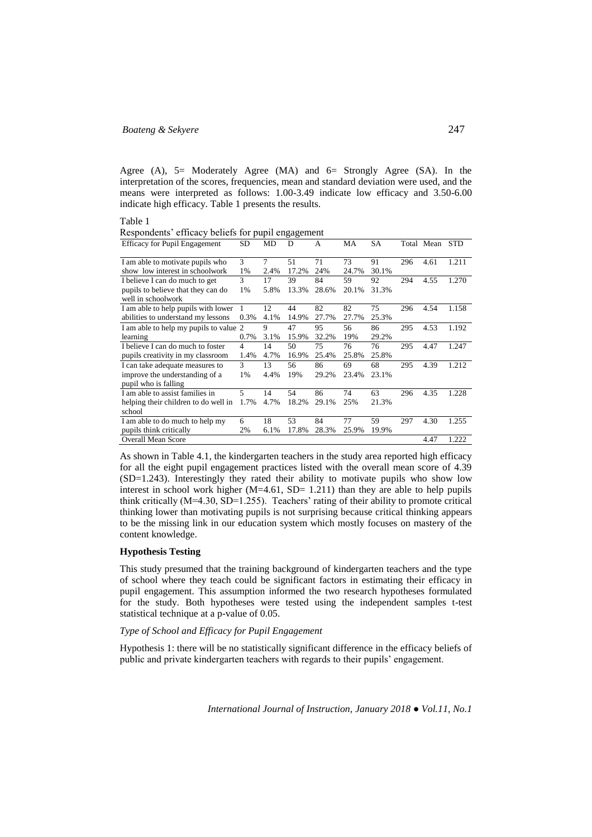# *Boateng & Sekyere* 247

Agree (A),  $5=$  Moderately Agree (MA) and  $6=$  Strongly Agree (SA). In the interpretation of the scores, frequencies, mean and standard deviation were used, and the means were interpreted as follows: 1.00-3.49 indicate low efficacy and 3.50-6.00 indicate high efficacy. Table 1 presents the results.

|--|--|

Respondents' efficacy beliefs for pupil engagement

| <b>Efficacy for Pupil Engagement</b>                                                      | SD                  | MD                 | D                    | А                    | MA                 | <b>SA</b>            |     | Total Mean | <b>STD</b> |
|-------------------------------------------------------------------------------------------|---------------------|--------------------|----------------------|----------------------|--------------------|----------------------|-----|------------|------------|
| I am able to motivate pupils who<br>show low interest in schoolwork                       | 3<br>1%             | 7<br>2.4%          | 51<br>17.2%          | 71<br>24%            | 73<br>24.7%        | 91<br>30.1%          | 296 | 4.61       | 1.211      |
| I believe I can do much to get<br>pupils to believe that they can do                      | 3<br>1%             | 17<br>5.8%         | 39<br>13.3%          | 84<br>28.6%          | 59<br>20.1%        | 92<br>31.3%          | 294 | 4.55       | 1.270      |
| well in schoolwork<br>I am able to help pupils with lower                                 |                     | 12                 | 44                   | 82                   | 82                 | 75                   | 296 | 4.54       | 1.158      |
| abilities to understand my lessons<br>I am able to help my pupils to value 2              | 0.3%                | 4.1%<br>9          | 14.9%<br>47          | 27.7%<br>95          | 27.7%<br>56        | 25.3%<br>86          | 295 | 4.53       | 1.192      |
| learning<br>I believe I can do much to foster<br>pupils creativity in my classroom        | 0.7%<br>4<br>1.4%   | 3.1%<br>14<br>4.7% | 15.9%<br>50<br>16.9% | 32.2%<br>75<br>25.4% | 19%<br>76<br>25.8% | 29.2%<br>76<br>25.8% | 295 | 4.47       | 1.247      |
| I can take adequate measures to<br>improve the understanding of a<br>pupil who is falling | $\mathcal{F}$<br>1% | 13<br>4.4%         | 56<br>19%            | 86<br>29.2%          | 69<br>23.4%        | 68<br>23.1%          | 295 | 4.39       | 1.212      |
| I am able to assist families in<br>helping their children to do well in<br>school         | 5<br>1.7%           | 14<br>4.7%         | 54<br>18.2%          | 86<br>29.1%          | 74<br>25%          | 63<br>21.3%          | 296 | 4.35       | 1.228      |
| I am able to do much to help my<br>pupils think critically                                | 6<br>2%             | 18<br>6.1%         | 53<br>17.8%          | 84<br>28.3%          | 77<br>25.9%        | 59<br>19.9%          | 297 | 4.30       | 1.255      |
| <b>Overall Mean Score</b>                                                                 |                     |                    |                      |                      |                    |                      |     | 4.47       | 1.222      |

As shown in Table 4.1, the kindergarten teachers in the study area reported high efficacy for all the eight pupil engagement practices listed with the overall mean score of 4.39 (SD=1.243). Interestingly they rated their ability to motivate pupils who show low interest in school work higher  $(M=4.61, SD= 1.211)$  than they are able to help pupils think critically (M=4.30, SD=1.255). Teachers' rating of their ability to promote critical thinking lower than motivating pupils is not surprising because critical thinking appears to be the missing link in our education system which mostly focuses on mastery of the content knowledge.

#### **Hypothesis Testing**

This study presumed that the training background of kindergarten teachers and the type of school where they teach could be significant factors in estimating their efficacy in pupil engagement. This assumption informed the two research hypotheses formulated for the study. Both hypotheses were tested using the independent samples t-test statistical technique at a p-value of 0.05.

# *Type of School and Efficacy for Pupil Engagement*

Hypothesis 1: there will be no statistically significant difference in the efficacy beliefs of public and private kindergarten teachers with regards to their pupils' engagement.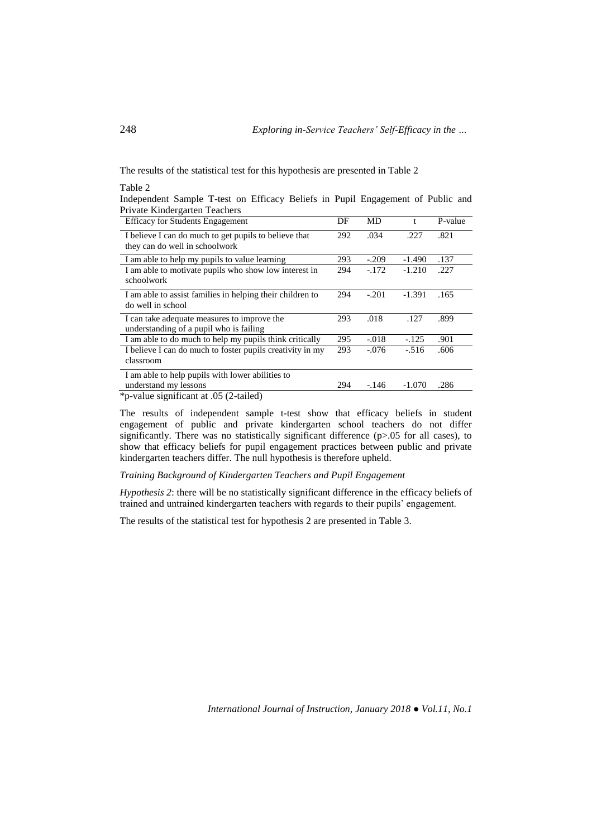The results of the statistical test for this hypothesis are presented in Table 2

Table 2

Independent Sample T-test on Efficacy Beliefs in Pupil Engagement of Public and Private Kindergarten Teachers

| <b>Efficacy for Students Engagement</b>                                                 | DF  | MD      | t        | P-value |
|-----------------------------------------------------------------------------------------|-----|---------|----------|---------|
| I believe I can do much to get pupils to believe that<br>they can do well in schoolwork | 292 | .034    | .227     | .821    |
| I am able to help my pupils to value learning                                           | 293 | $-.209$ | $-1.490$ | .137    |
| I am able to motivate pupils who show low interest in<br>schoolwork                     | 294 | $-.172$ | $-1.210$ | .227    |
| I am able to assist families in helping their children to<br>do well in school          | 294 | $-.201$ | $-1.391$ | .165    |
| I can take adequate measures to improve the<br>understanding of a pupil who is failing  | 293 | .018    | .127     | .899    |
| I am able to do much to help my pupils think critically                                 | 295 | $-.018$ | $-.125$  | .901    |
| I believe I can do much to foster pupils creativity in my<br>classroom                  | 293 | $-.076$ | $-.516$  | .606    |
| I am able to help pupils with lower abilities to<br>understand my lessons               | 294 | $-146$  | $-1.070$ | .286    |
| *p-value significant at .05 (2-tailed)                                                  |     |         |          |         |

The results of independent sample t-test show that efficacy beliefs in student engagement of public and private kindergarten school teachers do not differ significantly. There was no statistically significant difference (p>.05 for all cases), to show that efficacy beliefs for pupil engagement practices between public and private kindergarten teachers differ. The null hypothesis is therefore upheld.

## *Training Background of Kindergarten Teachers and Pupil Engagement*

*Hypothesis 2*: there will be no statistically significant difference in the efficacy beliefs of trained and untrained kindergarten teachers with regards to their pupils' engagement.

The results of the statistical test for hypothesis 2 are presented in Table 3.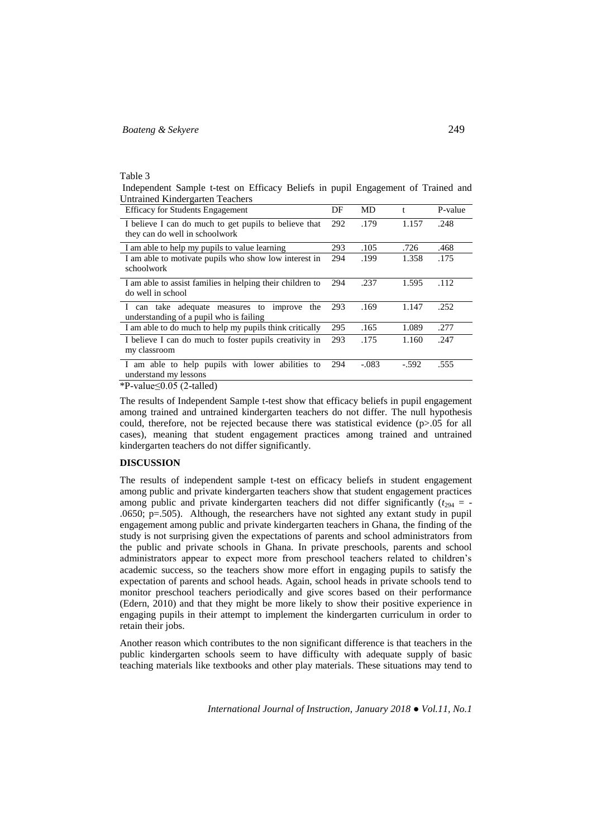#### Table 3

Independent Sample t-test on Efficacy Beliefs in pupil Engagement of Trained and Untrained Kindergarten Teachers

| <b>Efficacy for Students Engagement</b>                                                              | DF  | MD      | t       | P-value |
|------------------------------------------------------------------------------------------------------|-----|---------|---------|---------|
| I believe I can do much to get pupils to believe that<br>they can do well in schoolwork              | 292 | .179    | 1.157   | .248    |
| I am able to help my pupils to value learning                                                        | 293 | .105    | .726    | .468    |
| I am able to motivate pupils who show low interest in<br>schoolwork                                  | 294 | .199    | 1.358   | .175    |
| I am able to assist families in helping their children to<br>do well in school                       | 294 | .237    | 1.595   | .112    |
| can take adequate measures to improve the<br>$\mathbf{I}$<br>understanding of a pupil who is failing | 293 | .169    | 1.147   | .252    |
| I am able to do much to help my pupils think critically                                              | 295 | .165    | 1.089   | .277    |
| I believe I can do much to foster pupils creativity in<br>my classroom                               | 293 | .175    | 1.160   | .247    |
| I am able to help pupils with lower abilities to<br>understand my lessons                            | 294 | $-.083$ | $-.592$ | .555    |

\*P-value≤0.05 (2-talled)

The results of Independent Sample t-test show that efficacy beliefs in pupil engagement among trained and untrained kindergarten teachers do not differ. The null hypothesis could, therefore, not be rejected because there was statistical evidence (p>.05 for all cases), meaning that student engagement practices among trained and untrained kindergarten teachers do not differ significantly.

## **DISCUSSION**

The results of independent sample t-test on efficacy beliefs in student engagement among public and private kindergarten teachers show that student engagement practices among public and private kindergarten teachers did not differ significantly  $(t_{294} = -1)$ .0650; p=.505). Although, the researchers have not sighted any extant study in pupil engagement among public and private kindergarten teachers in Ghana, the finding of the study is not surprising given the expectations of parents and school administrators from the public and private schools in Ghana. In private preschools, parents and school administrators appear to expect more from preschool teachers related to children's academic success, so the teachers show more effort in engaging pupils to satisfy the expectation of parents and school heads. Again, school heads in private schools tend to monitor preschool teachers periodically and give scores based on their performance (Edern, 2010) and that they might be more likely to show their positive experience in engaging pupils in their attempt to implement the kindergarten curriculum in order to retain their jobs.

Another reason which contributes to the non significant difference is that teachers in the public kindergarten schools seem to have difficulty with adequate supply of basic teaching materials like textbooks and other play materials. These situations may tend to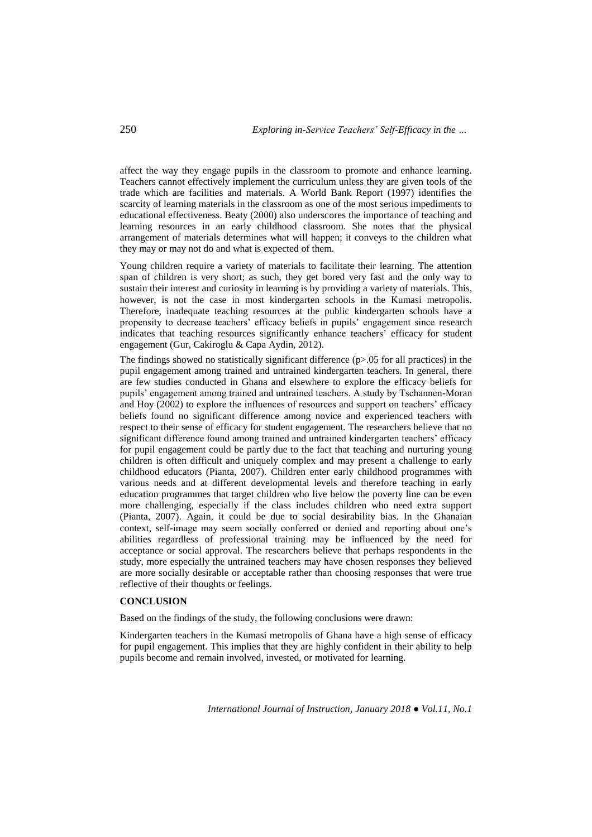affect the way they engage pupils in the classroom to promote and enhance learning. Teachers cannot effectively implement the curriculum unless they are given tools of the trade which are facilities and materials. A World Bank Report (1997) identifies the scarcity of learning materials in the classroom as one of the most serious impediments to educational effectiveness. Beaty (2000) also underscores the importance of teaching and learning resources in an early childhood classroom. She notes that the physical arrangement of materials determines what will happen; it conveys to the children what they may or may not do and what is expected of them.

Young children require a variety of materials to facilitate their learning. The attention span of children is very short; as such, they get bored very fast and the only way to sustain their interest and curiosity in learning is by providing a variety of materials. This, however, is not the case in most kindergarten schools in the Kumasi metropolis. Therefore, inadequate teaching resources at the public kindergarten schools have a propensity to decrease teachers' efficacy beliefs in pupils' engagement since research indicates that teaching resources significantly enhance teachers' efficacy for student engagement (Gur, Cakiroglu & Capa Aydin, 2012).

The findings showed no statistically significant difference  $(p>0.05$  for all practices) in the pupil engagement among trained and untrained kindergarten teachers. In general, there are few studies conducted in Ghana and elsewhere to explore the efficacy beliefs for pupils' engagement among trained and untrained teachers. A study by Tschannen-Moran and Hoy (2002) to explore the influences of resources and support on teachers' efficacy beliefs found no significant difference among novice and experienced teachers with respect to their sense of efficacy for student engagement. The researchers believe that no significant difference found among trained and untrained kindergarten teachers' efficacy for pupil engagement could be partly due to the fact that teaching and nurturing young children is often difficult and uniquely complex and may present a challenge to early childhood educators (Pianta, 2007). Children enter early childhood programmes with various needs and at different developmental levels and therefore teaching in early education programmes that target children who live below the poverty line can be even more challenging, especially if the class includes children who need extra support (Pianta, 2007). Again, it could be due to social desirability bias. In the Ghanaian context, self-image may seem socially conferred or denied and reporting about one's abilities regardless of professional training may be influenced by the need for acceptance or social approval. The researchers believe that perhaps respondents in the study, more especially the untrained teachers may have chosen responses they believed are more socially desirable or acceptable rather than choosing responses that were true reflective of their thoughts or feelings.

#### **CONCLUSION**

Based on the findings of the study, the following conclusions were drawn:

Kindergarten teachers in the Kumasi metropolis of Ghana have a high sense of efficacy for pupil engagement. This implies that they are highly confident in their ability to help pupils become and remain involved, invested, or motivated for learning.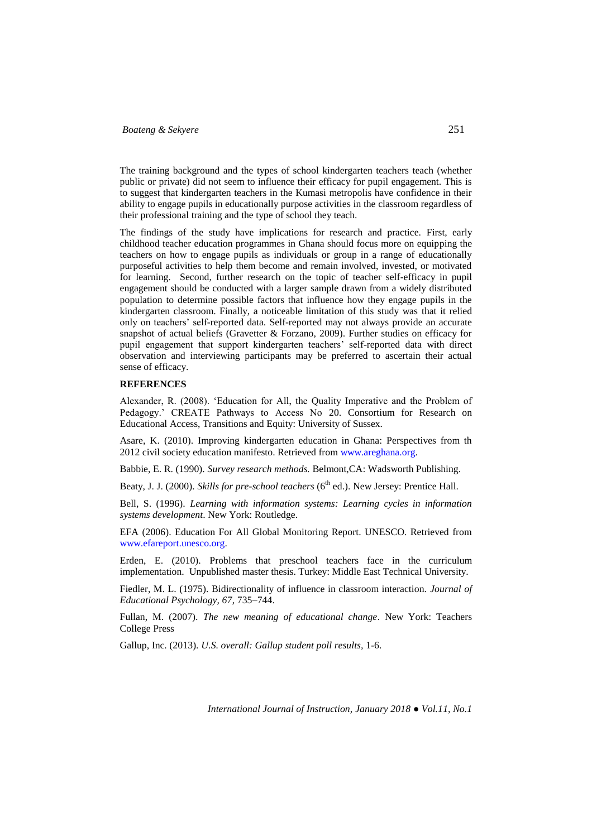The training background and the types of school kindergarten teachers teach (whether public or private) did not seem to influence their efficacy for pupil engagement. This is to suggest that kindergarten teachers in the Kumasi metropolis have confidence in their ability to engage pupils in educationally purpose activities in the classroom regardless of their professional training and the type of school they teach.

The findings of the study have implications for research and practice. First, early childhood teacher education programmes in Ghana should focus more on equipping the teachers on how to engage pupils as individuals or group in a range of educationally purposeful activities to help them become and remain involved, invested, or motivated for learning. Second, further research on the topic of teacher self-efficacy in pupil engagement should be conducted with a larger sample drawn from a widely distributed population to determine possible factors that influence how they engage pupils in the kindergarten classroom. Finally, a noticeable limitation of this study was that it relied only on teachers' self-reported data. Self-reported may not always provide an accurate snapshot of actual beliefs (Gravetter & Forzano, 2009). Further studies on efficacy for pupil engagement that support kindergarten teachers' self-reported data with direct observation and interviewing participants may be preferred to ascertain their actual sense of efficacy.

#### **REFERENCES**

Alexander, R. (2008). 'Education for All, the Quality Imperative and the Problem of Pedagogy.' CREATE Pathways to Access No 20. Consortium for Research on Educational Access, Transitions and Equity: University of Sussex.

Asare, K. (2010). Improving kindergarten education in Ghana: Perspectives from th 2012 civil society education manifesto. Retrieved from [www.areghana.org.](http://www.areghana.org/) 

Babbie, E. R. (1990). *Survey research methods.* Belmont,CA: Wadsworth Publishing.

Beaty, J. J. (2000). *Skills for pre-school teachers* (6<sup>th</sup> ed.). New Jersey: Prentice Hall.

Bell, S. (1996). *Learning with information systems: Learning cycles in information systems development*. New York: Routledge.

EFA (2006). Education For All Global Monitoring Report. UNESCO. Retrieved from [www.efareport.unesco.org.](http://www.efareport.unesco.org/)

Erden, E. (2010). Problems that preschool teachers face in the curriculum implementation. Unpublished master thesis. Turkey: Middle East Technical University.

Fiedler, M. L. (1975). Bidirectionality of influence in classroom interaction. *Journal of Educational Psychology, 67*, 735–744.

Fullan, M. (2007). *The new meaning of educational change*. New York: Teachers College Press

Gallup, Inc. (2013). *U.S. overall: Gallup student poll results,* 1-6.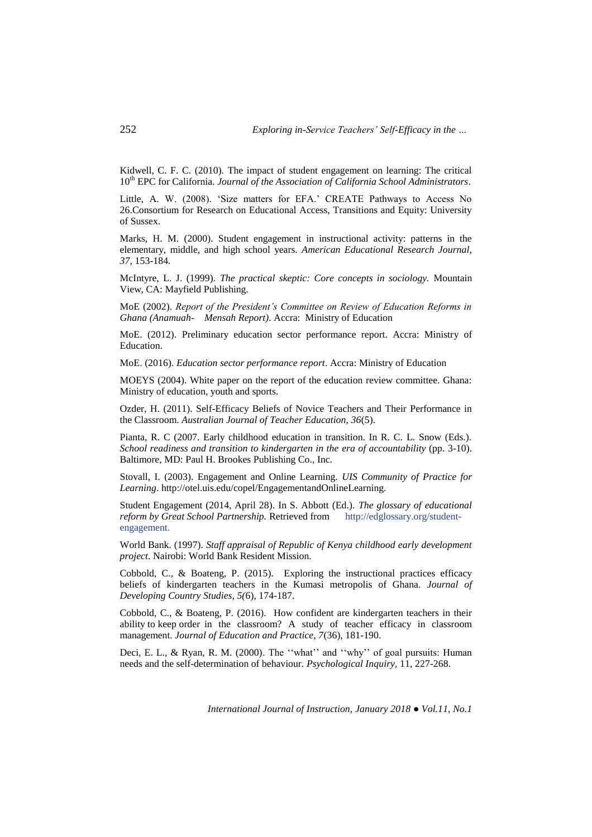Kidwell, C. F. C. (2010). The impact of student engagement on learning: The critical 10th EPC for California. *Journal of the Association of California School Administrators*.

Little, A. W. (2008). 'Size matters for EFA.' CREATE Pathways to Access No 26.Consortium for Research on Educational Access, Transitions and Equity: University of Sussex.

Marks, H. M. (2000). Student engagement in instructional activity: patterns in the elementary, middle, and high school years. *American Educational Research Journal, 37,* 153-184*.* 

McIntyre, L. J. (1999). *The practical skeptic: Core concepts in sociology.* Mountain View, CA: Mayfield Publishing.

MoE (2002). *Report of the President's Committee on Review of Education Reforms in Ghana (Anamuah- Mensah Report)*. Accra: Ministry of Education

MoE. (2012). Preliminary education sector performance report. Accra: Ministry of Education.

MoE. (2016). *Education sector performance report*. Accra: Ministry of Education

MOEYS (2004). White paper on the report of the education review committee. Ghana: Ministry of education, youth and sports.

Ozder, H. (2011). Self-Efficacy Beliefs of Novice Teachers and Their Performance in the Classroom. *Australian Journal of Teacher Education, 36*(5).

Pianta, R. C (2007. Early childhood education in transition. In R. C. L. Snow (Eds.). *School readiness and transition to kindergarten in the era of accountability* (pp. 3-10). Baltimore, MD: Paul H. Brookes Publishing Co., Inc.

Stovall, I. (2003). Engagement and Online Learning. *UIS Community of Practice for Learning*. http://otel.uis.edu/copel/EngagementandOnlineLearning.

Student Engagement (2014, April 28). In S. Abbott (Ed.). *The glossary of educational reform by Great School Partnership.* Retrieved from http://edglossary.org/studentengagement.

World Bank. (1997). *Staff appraisal of Republic of Kenya childhood early development project*. Nairobi: World Bank Resident Mission.

Cobbold, C., & Boateng, P. (2015). Exploring the instructional practices efficacy beliefs of kindergarten teachers in the Kumasi metropolis of Ghana. *Journal of Developing Country Studies, 5(*6), 174-187.

Cobbold, C., & Boateng, P. (2016). How confident are kindergarten teachers in their ability to keep order in the classroom? A study of teacher efficacy in classroom management. *Journal of Education and Practice, 7*(36), 181-190.

Deci, E. L., & Ryan, R. M. (2000). The ''what'' and ''why'' of goal pursuits: Human needs and the self-determination of behaviour. *Psychological Inquiry,* 11, 227-268.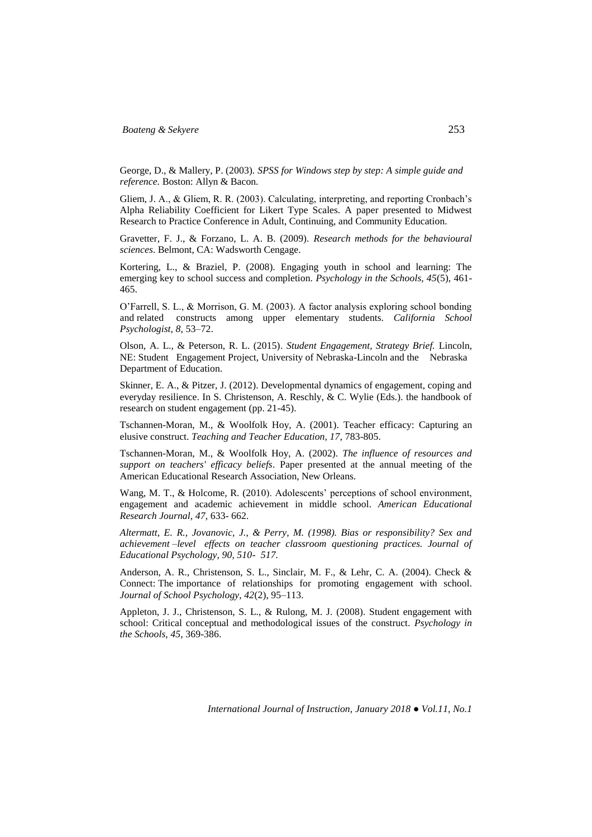George, D., & Mallery, P. (2003). *SPSS for Windows step by step: A simple guide and reference.* Boston: Allyn & Bacon.

Gliem, J. A., & Gliem, R. R. (2003). Calculating, interpreting, and reporting Cronbach's Alpha Reliability Coefficient for Likert Type Scales. A paper presented to Midwest Research to Practice Conference in Adult, Continuing, and Community Education.

Gravetter, F. J., & Forzano, L. A. B. (2009). *Research methods for the behavioural sciences*. Belmont, CA: Wadsworth Cengage.

Kortering, L., & Braziel, P. (2008). Engaging youth in school and learning: The emerging key to school success and completion. *Psychology in the Schools, 45*(5), 461- 465.

O'Farrell, S. L., & Morrison, G. M. (2003). A factor analysis exploring school bonding and related constructs among upper elementary students. *California School Psychologist, 8*, 53–72.

Olson, A. L., & Peterson, R. L. (2015). *Student Engagement, Strategy Brief.* Lincoln, NE: Student Engagement Project, University of Nebraska-Lincoln and the Nebraska Department of Education.

Skinner, E. A., & Pitzer, J. (2012). Developmental dynamics of engagement, coping and everyday resilience. In S. Christenson, A. Reschly, & C. Wylie (Eds.). the handbook of research on student engagement (pp. 21-45).

Tschannen-Moran, M., & Woolfolk Hoy, A. (2001). Teacher efficacy: Capturing an elusive construct. *Teaching and Teacher Education, 17*, 783-805.

Tschannen-Moran, M., & Woolfolk Hoy, A. (2002). *The influence of resources and support on teachers' efficacy beliefs*. Paper presented at the annual meeting of the American Educational Research Association, New Orleans.

Wang, M. T., & Holcome, R. (2010). Adolescents' perceptions of school environment, engagement and academic achievement in middle school. *American Educational Research Journal, 47*, 633- 662.

*Altermatt, E. R., Jovanovic, J., & Perry, M. (1998). Bias or responsibility? Sex and achievement –level effects on teacher classroom questioning practices. Journal of Educational Psychology, 90, 510- 517.*

Anderson, A. R., Christenson, S. L., Sinclair, M. F., & Lehr, C. A. (2004). Check & Connect: The importance of relationships for promoting engagement with school. *Journal of School Psychology, 42*(2), 95–113.

Appleton, J. J., Christenson, S. L., & Rulong, M. J. (2008). Student engagement with school: Critical conceptual and methodological issues of the construct. *Psychology in the Schools, 45*, 369-386.